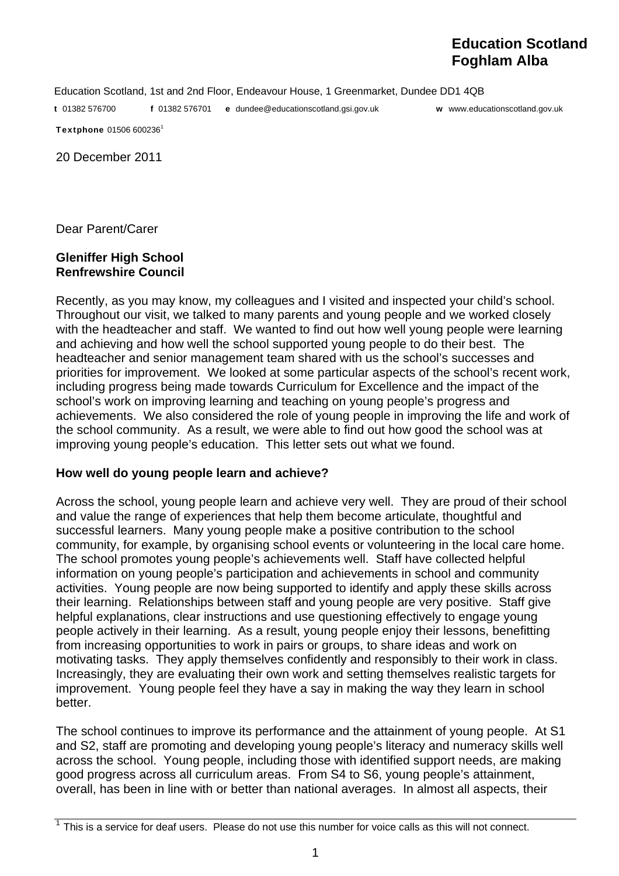# **Education Scotland Foghlam Alba**

Education Scotland, 1st and 2nd Floor, Endeavour House, 1 Greenmarket, Dundee DD1 4QB

t 01382 576700 f 01382 576701 e dundee@educationscotland.gsi.gov.uk w www.educationscotland.gov.uk

Textphone 01506 600236<sup>1</sup>

20 December 2011

Dear Parent/Carer

## **Gleniffer High School Renfrewshire Council**

Recently, as you may know, my colleagues and I visited and inspected your child's school. Throughout our visit, we talked to many parents and young people and we worked closely with the headteacher and staff. We wanted to find out how well young people were learning and achieving and how well the school supported young people to do their best. The headteacher and senior management team shared with us the school's successes and priorities for improvement. We looked at some particular aspects of the school's recent work, including progress being made towards Curriculum for Excellence and the impact of the school's work on improving learning and teaching on young people's progress and achievements. We also considered the role of young people in improving the life and work of the school community. As a result, we were able to find out how good the school was at improving young people's education. This letter sets out what we found.

## **How well do young people learn and achieve?**

Across the school, young people learn and achieve very well. They are proud of their school and value the range of experiences that help them become articulate, thoughtful and successful learners. Many young people make a positive contribution to the school community, for example, by organising school events or volunteering in the local care home. The school promotes young people's achievements well. Staff have collected helpful information on young people's participation and achievements in school and community activities. Young people are now being supported to identify and apply these skills across their learning. Relationships between staff and young people are very positive. Staff give helpful explanations, clear instructions and use questioning effectively to engage young people actively in their learning. As a result, young people enjoy their lessons, benefitting from increasing opportunities to work in pairs or groups, to share ideas and work on motivating tasks. They apply themselves confidently and responsibly to their work in class. Increasingly, they are evaluating their own work and setting themselves realistic targets for improvement. Young people feel they have a say in making the way they learn in school better.

The school continues to improve its performance and the attainment of young people. At S1 and S2, staff are promoting and developing young people's literacy and numeracy skills well across the school. Young people, including those with identified support needs, are making good progress across all curriculum areas. From S4 to S6, young people's attainment, overall, has been in line with or better than national averages. In almost all aspects, their

 $1$  This is a service for deaf users. Please do not use this number for voice calls as this will not connect.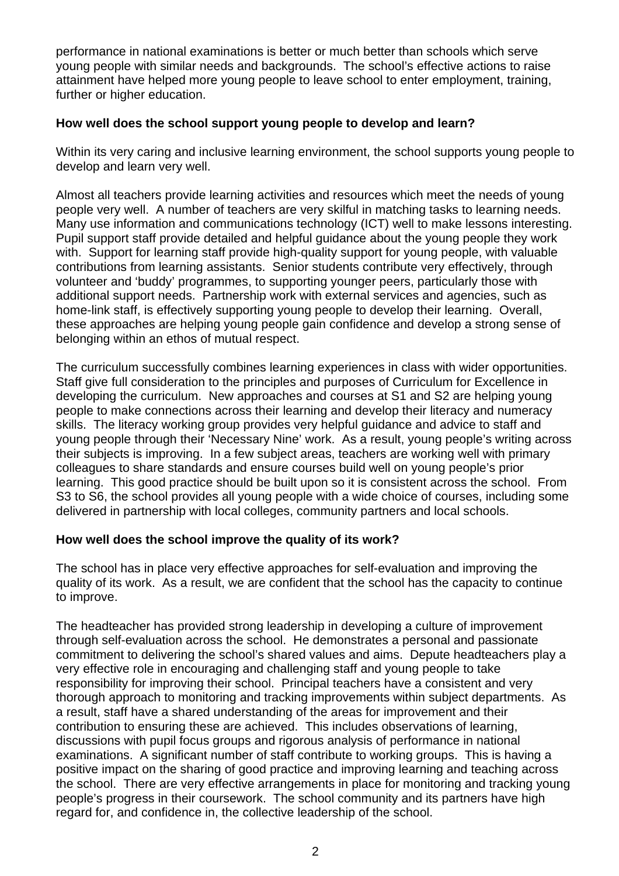performance in national examinations is better or much better than schools which serve young people with similar needs and backgrounds. The school's effective actions to raise attainment have helped more young people to leave school to enter employment, training, further or higher education.

# **How well does the school support young people to develop and learn?**

Within its very caring and inclusive learning environment, the school supports young people to develop and learn very well.

Almost all teachers provide learning activities and resources which meet the needs of young people very well. A number of teachers are very skilful in matching tasks to learning needs. Many use information and communications technology (ICT) well to make lessons interesting. Pupil support staff provide detailed and helpful guidance about the young people they work with. Support for learning staff provide high-quality support for young people, with valuable contributions from learning assistants. Senior students contribute very effectively, through volunteer and 'buddy' programmes, to supporting younger peers, particularly those with additional support needs. Partnership work with external services and agencies, such as home-link staff, is effectively supporting young people to develop their learning. Overall, these approaches are helping young people gain confidence and develop a strong sense of belonging within an ethos of mutual respect.

The curriculum successfully combines learning experiences in class with wider opportunities. Staff give full consideration to the principles and purposes of Curriculum for Excellence in developing the curriculum. New approaches and courses at S1 and S2 are helping young people to make connections across their learning and develop their literacy and numeracy skills. The literacy working group provides very helpful guidance and advice to staff and young people through their 'Necessary Nine' work. As a result, young people's writing across their subjects is improving. In a few subject areas, teachers are working well with primary colleagues to share standards and ensure courses build well on young people's prior learning. This good practice should be built upon so it is consistent across the school. From S3 to S6, the school provides all young people with a wide choice of courses, including some delivered in partnership with local colleges, community partners and local schools.

## **How well does the school improve the quality of its work?**

The school has in place very effective approaches for self-evaluation and improving the quality of its work. As a result, we are confident that the school has the capacity to continue to improve.

The headteacher has provided strong leadership in developing a culture of improvement through self-evaluation across the school. He demonstrates a personal and passionate commitment to delivering the school's shared values and aims. Depute headteachers play a very effective role in encouraging and challenging staff and young people to take responsibility for improving their school. Principal teachers have a consistent and very thorough approach to monitoring and tracking improvements within subject departments. As a result, staff have a shared understanding of the areas for improvement and their contribution to ensuring these are achieved. This includes observations of learning, discussions with pupil focus groups and rigorous analysis of performance in national examinations. A significant number of staff contribute to working groups. This is having a positive impact on the sharing of good practice and improving learning and teaching across the school. There are very effective arrangements in place for monitoring and tracking young people's progress in their coursework. The school community and its partners have high regard for, and confidence in, the collective leadership of the school.